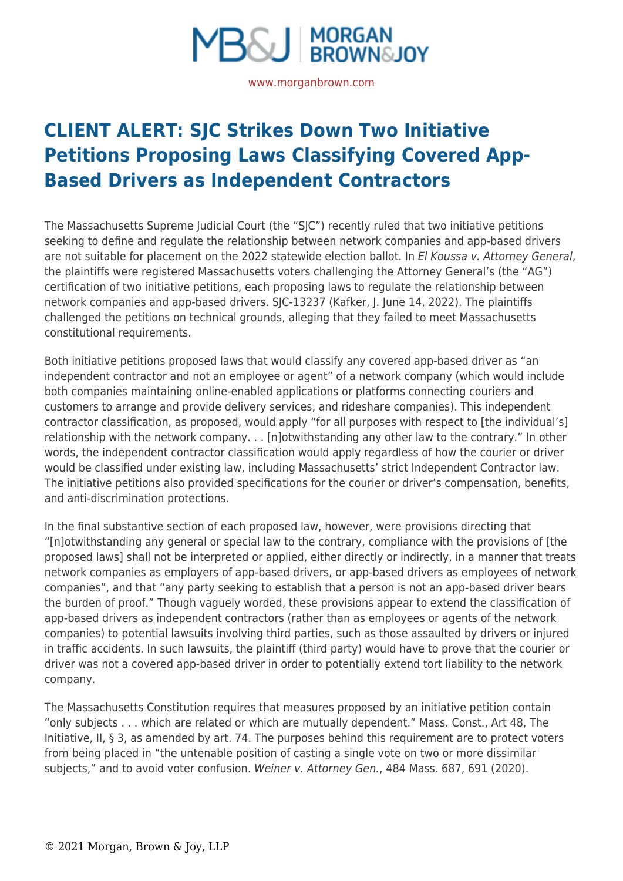

## **[CLIENT ALERT: SJC Strikes Down Two Initiative](https://www.morganbrown.com/legal-update/client-alert-sjc-strikes-down-two-initiative-petitions-proposing-laws-classifying-covered-app-based-drivers-as-independent-contractors/) [Petitions Proposing Laws Classifying Covered App-](https://www.morganbrown.com/legal-update/client-alert-sjc-strikes-down-two-initiative-petitions-proposing-laws-classifying-covered-app-based-drivers-as-independent-contractors/)[Based Drivers as Independent Contractors](https://www.morganbrown.com/legal-update/client-alert-sjc-strikes-down-two-initiative-petitions-proposing-laws-classifying-covered-app-based-drivers-as-independent-contractors/)**

The Massachusetts Supreme Judicial Court (the "SJC") recently ruled that two initiative petitions seeking to define and regulate the relationship between network companies and app-based drivers are not suitable for placement on the 2022 statewide election ballot. In El Koussa v. Attorney General, the plaintiffs were registered Massachusetts voters challenging the Attorney General's (the "AG") certification of two initiative petitions, each proposing laws to regulate the relationship between network companies and app-based drivers. SJC-13237 (Kafker, J. June 14, 2022). The plaintiffs challenged the petitions on technical grounds, alleging that they failed to meet Massachusetts constitutional requirements.

Both initiative petitions proposed laws that would classify any covered app-based driver as "an independent contractor and not an employee or agent" of a network company (which would include both companies maintaining online-enabled applications or platforms connecting couriers and customers to arrange and provide delivery services, and rideshare companies). This independent contractor classification, as proposed, would apply "for all purposes with respect to [the individual's] relationship with the network company. . . [n]otwithstanding any other law to the contrary." In other words, the independent contractor classification would apply regardless of how the courier or driver would be classified under existing law, including Massachusetts' strict Independent Contractor law. The initiative petitions also provided specifications for the courier or driver's compensation, benefits, and anti-discrimination protections.

In the final substantive section of each proposed law, however, were provisions directing that "[n]otwithstanding any general or special law to the contrary, compliance with the provisions of [the proposed laws] shall not be interpreted or applied, either directly or indirectly, in a manner that treats network companies as employers of app-based drivers, or app-based drivers as employees of network companies", and that "any party seeking to establish that a person is not an app-based driver bears the burden of proof." Though vaguely worded, these provisions appear to extend the classification of app-based drivers as independent contractors (rather than as employees or agents of the network companies) to potential lawsuits involving third parties, such as those assaulted by drivers or injured in traffic accidents. In such lawsuits, the plaintiff (third party) would have to prove that the courier or driver was not a covered app-based driver in order to potentially extend tort liability to the network company.

The Massachusetts Constitution requires that measures proposed by an initiative petition contain "only subjects . . . which are related or which are mutually dependent." Mass. Const., Art 48, The Initiative, II, § 3, as amended by art. 74. The purposes behind this requirement are to protect voters from being placed in "the untenable position of casting a single vote on two or more dissimilar subjects," and to avoid voter confusion. Weiner v. Attorney Gen., 484 Mass. 687, 691 (2020).